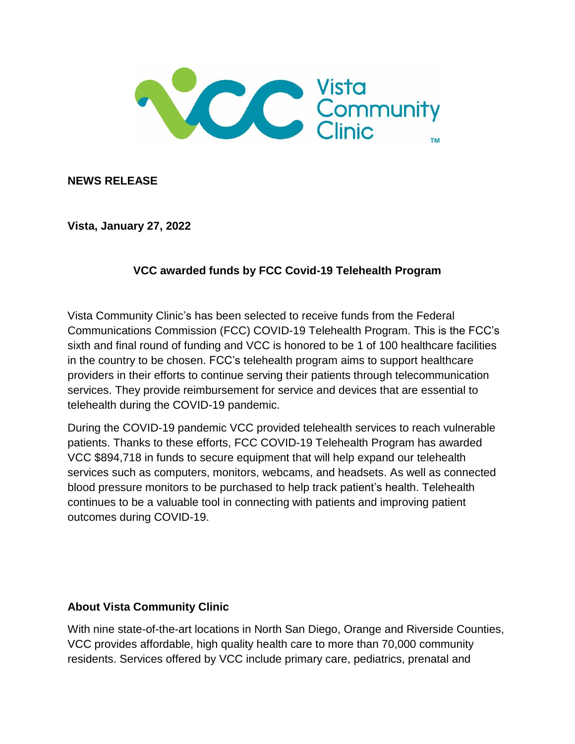

**NEWS RELEASE**

**Vista, January 27, 2022**

## **VCC awarded funds by FCC Covid-19 Telehealth Program**

Vista Community Clinic's has been selected to receive funds from the Federal Communications Commission (FCC) COVID-19 Telehealth Program. This is the FCC's sixth and final round of funding and VCC is honored to be 1 of 100 healthcare facilities in the country to be chosen. FCC's telehealth program aims to support healthcare providers in their efforts to continue serving their patients through telecommunication services. They provide reimbursement for service and devices that are essential to telehealth during the COVID-19 pandemic.

During the COVID-19 pandemic VCC provided telehealth services to reach vulnerable patients. Thanks to these efforts, FCC COVID-19 Telehealth Program has awarded VCC \$894,718 in funds to secure equipment that will help expand our telehealth services such as computers, monitors, webcams, and headsets. As well as connected blood pressure monitors to be purchased to help track patient's health. Telehealth continues to be a valuable tool in connecting with patients and improving patient outcomes during COVID-19.

## **About Vista Community Clinic**

With nine state-of-the-art locations in North San Diego, Orange and Riverside Counties, VCC provides affordable, high quality health care to more than 70,000 community residents. Services offered by VCC include primary care, pediatrics, prenatal and